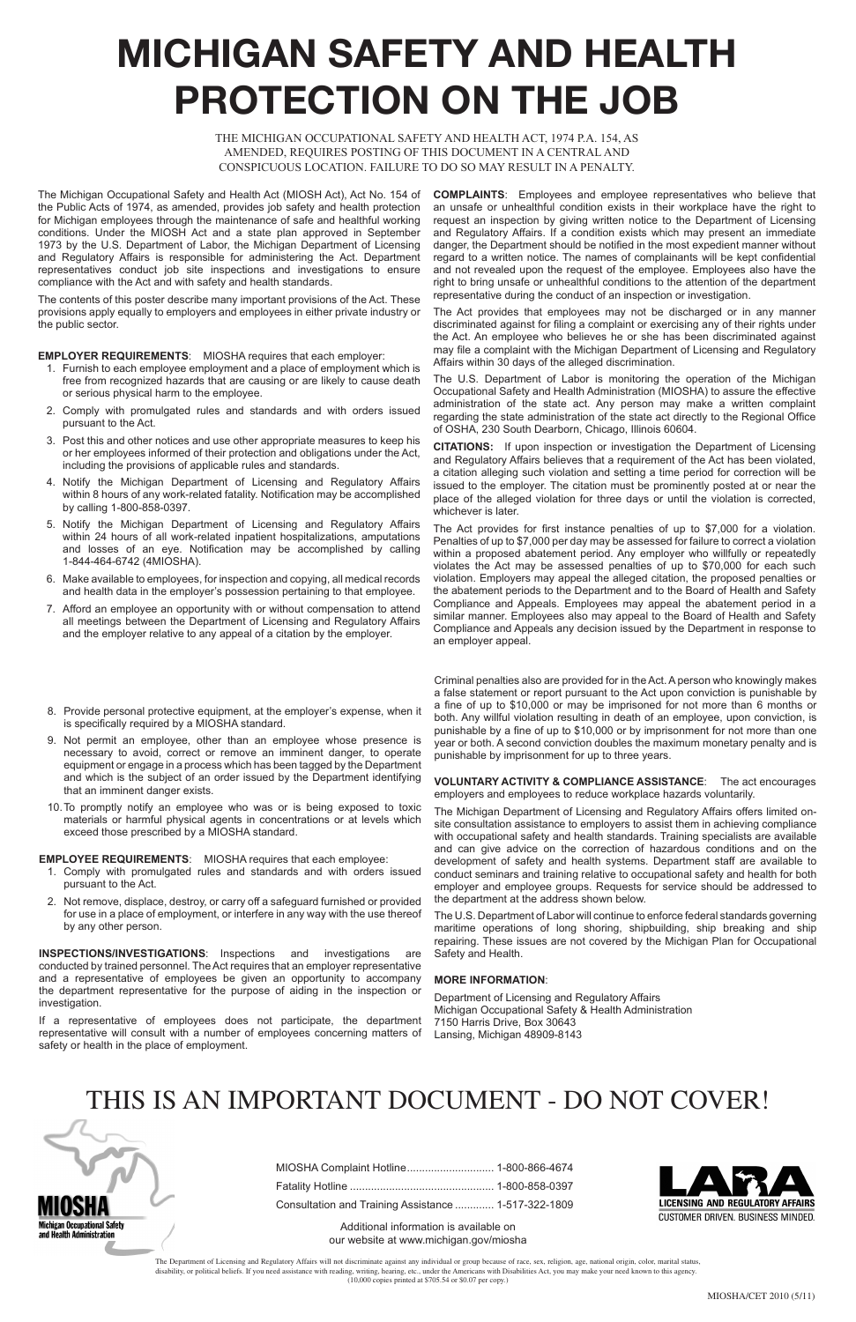## **MICHIGAN SAFETY AND HEALTH PROTECTION ON THE JOB**

THE MICHIGAN OCCUPATIONAL SAFETY AND HEALTH ACT, 1974 P.A. 154, AS AMENDED, REQUIRES POSTING OF THIS DOCUMENT IN A CENTRAL AND CONSPICUOUS LOCATION. FAILURE TO DO SO MAY RESULT IN A PENALTY.

The Michigan Occupational Safety and Health Act (MIOSH Act), Act No. 154 of the Public Acts of 1974, as amended, provides job safety and health protection for Michigan employees through the maintenance of safe and healthful working conditions. Under the MIOSH Act and a state plan approved in September 1973 by the U.S. Department of Labor, the Michigan Department of Licensing and Regulatory Affairs is responsible for administering the Act. Department representatives conduct job site inspections and investigations to ensure compliance with the Act and with safety and health standards.

The contents of this poster describe many important provisions of the Act. These provisions apply equally to employers and employees in either private industry or the public sector.

## **EMPLOYER REQUIREMENTS**: MIOSHA requires that each employer:

- 1. Furnish to each employee employment and a place of employment which is free from recognized hazards that are causing or are likely to cause death or serious physical harm to the employee.
- 2. Comply with promulgated rules and standards and with orders issued pursuant to the Act.
- 3. Post this and other notices and use other appropriate measures to keep his or her employees informed of their protection and obligations under the Act, including the provisions of applicable rules and standards.
- 4. Notify the Michigan Department of Licensing and Regulatory Affairs within 8 hours of any work-related fatality. Notification may be accomplished by calling 1-800-858-0397.
- 5. Notify the Michigan Department of Licensing and Regulatory Affairs within 24 hours of all work-related inpatient hospitalizations, amputations and losses of an eye. Notification may be accomplished by calling 1-844-464-6742 (4MIOSHA).
- 6. Make available to employees, for inspection and copying, all medical records and health data in the employer's possession pertaining to that employee.
- 7. Afford an employee an opportunity with or without compensation to attend all meetings between the Department of Licensing and Regulatory Affairs and the employer relative to any appeal of a citation by the employer.

**COMPLAINTS**: Employees and employee representatives who believe that an unsafe or unhealthful condition exists in their workplace have the right to request an inspection by giving written notice to the Department of Licensing and Regulatory Affairs. If a condition exists which may present an immediate danger, the Department should be notified in the most expedient manner without regard to a written notice. The names of complainants will be kept confidential and not revealed upon the request of the employee. Employees also have the right to bring unsafe or unhealthful conditions to the attention of the department representative during the conduct of an inspection or investigation.

The Act provides that employees may not be discharged or in any manner discriminated against for filing a complaint or exercising any of their rights under the Act. An employee who believes he or she has been discriminated against may file a complaint with the Michigan Department of Licensing and Regulatory Affairs within 30 days of the alleged discrimination.

The U.S. Department of Labor is monitoring the operation of the Michigan Occupational Safety and Health Administration (MIOSHA) to assure the effective administration of the state act. Any person may make a written complaint regarding the state administration of the state act directly to the Regional Office of OSHA, 230 South Dearborn, Chicago, Illinois 60604.

**CITATIONS:** If upon inspection or investigation the Department of Licensing and Regulatory Affairs believes that a requirement of the Act has been violated, a citation alleging such violation and setting a time period for correction will be issued to the employer. The citation must be prominently posted at or near the place of the alleged violation for three days or until the violation is corrected, whichever is later.

The Act provides for first instance penalties of up to \$7,000 for a violation. Penalties of up to \$7,000 per day may be assessed for failure to correct a violation within a proposed abatement period. Any employer who willfully or repeatedly violates the Act may be assessed penalties of up to \$70,000 for each such violation. Employers may appeal the alleged citation, the proposed penalties or the abatement periods to the Department and to the Board of Health and Safety Compliance and Appeals. Employees may appeal the abatement period in a similar manner. Employees also may appeal to the Board of Health and Safety Compliance and Appeals any decision issued by the Department in response to an employer appeal.